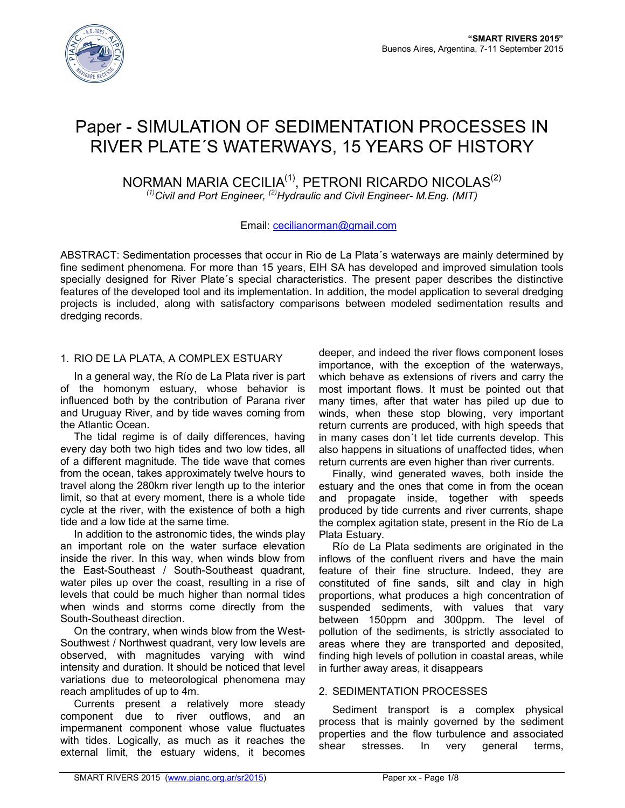

# Paper - SIMULATION OF SEDIMENTATION PROCESSES IN RIVER PLATE´S WATERWAYS, 15 YEARS OF HISTORY

## NORMAN MARIA CECILIA<sup>(1)</sup>, PETRONI RICARDO NICOLAS<sup>(2)</sup> *(1)Civil and Port Engineer, (2)Hydraulic and Civil Engineer- M.Eng. (MIT)*

## Email: cecilianorman@gmail.com

ABSTRACT: Sedimentation processes that occur in Rio de La Plata´s waterways are mainly determined by fine sediment phenomena. For more than 15 years, EIH SA has developed and improved simulation tools specially designed for River Plate´s special characteristics. The present paper describes the distinctive features of the developed tool and its implementation. In addition, the model application to several dredging projects is included, along with satisfactory comparisons between modeled sedimentation results and dredging records.

## 1. RIO DE LA PLATA, A COMPLEX ESTUARY

In a general way, the Río de La Plata river is part of the homonym estuary, whose behavior is influenced both by the contribution of Parana river and Uruguay River, and by tide waves coming from the Atlantic Ocean.

The tidal regime is of daily differences, having every day both two high tides and two low tides, all of a different magnitude. The tide wave that comes from the ocean, takes approximately twelve hours to travel along the 280km river length up to the interior limit, so that at every moment, there is a whole tide cycle at the river, with the existence of both a high tide and a low tide at the same time.

In addition to the astronomic tides, the winds play an important role on the water surface elevation inside the river. In this way, when winds blow from the East-Southeast / South-Southeast quadrant, water piles up over the coast, resulting in a rise of levels that could be much higher than normal tides when winds and storms come directly from the South-Southeast direction.

On the contrary, when winds blow from the West-Southwest / Northwest quadrant, very low levels are observed, with magnitudes varying with wind intensity and duration. It should be noticed that level variations due to meteorological phenomena may reach amplitudes of up to 4m.

Currents present a relatively more steady component due to river outflows, and an impermanent component whose value fluctuates with tides. Logically, as much as it reaches the external limit, the estuary widens, it becomes deeper, and indeed the river flows component loses importance, with the exception of the waterways, which behave as extensions of rivers and carry the most important flows. It must be pointed out that many times, after that water has piled up due to winds, when these stop blowing, very important return currents are produced, with high speeds that in many cases don´t let tide currents develop. This also happens in situations of unaffected tides, when return currents are even higher than river currents.

Finally, wind generated waves, both inside the estuary and the ones that come in from the ocean and propagate inside, together with speeds produced by tide currents and river currents, shape the complex agitation state, present in the Río de La Plata Estuary.

Río de La Plata sediments are originated in the inflows of the confluent rivers and have the main feature of their fine structure. Indeed, they are constituted of fine sands, silt and clay in high proportions, what produces a high concentration of suspended sediments, with values that vary between 150ppm and 300ppm. The level of pollution of the sediments, is strictly associated to areas where they are transported and deposited, finding high levels of pollution in coastal areas, while in further away areas, it disappears

#### 2. SEDIMENTATION PROCESSES

Sediment transport is a complex physical process that is mainly governed by the sediment properties and the flow turbulence and associated shear stresses. In very general terms,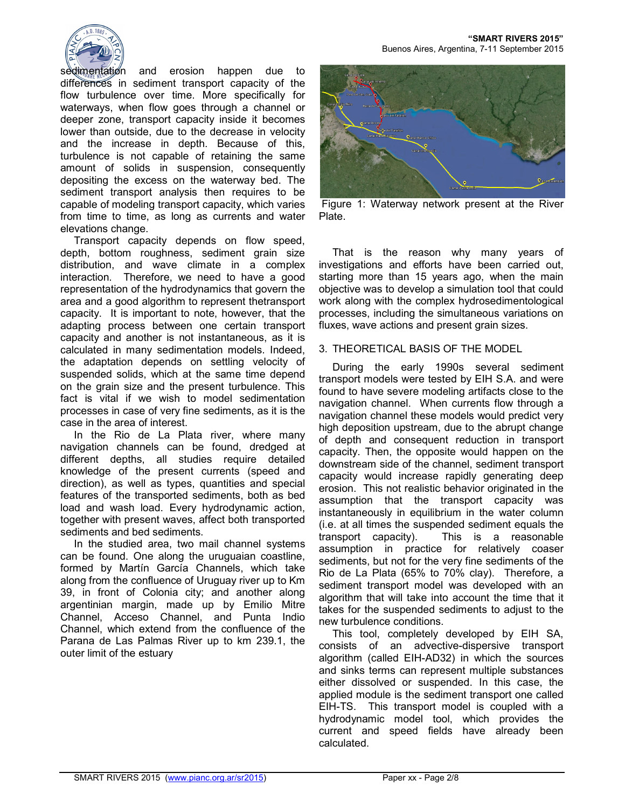

sedimentation and erosion happen due to differences in sediment transport capacity of the flow turbulence over time. More specifically for waterways, when flow goes through a channel or deeper zone, transport capacity inside it becomes lower than outside, due to the decrease in velocity and the increase in depth. Because of this, turbulence is not capable of retaining the same amount of solids in suspension, consequently depositing the excess on the waterway bed. The sediment transport analysis then requires to be capable of modeling transport capacity, which varies from time to time, as long as currents and water elevations change.

Transport capacity depends on flow speed, depth, bottom roughness, sediment grain size distribution, and wave climate in a complex interaction. Therefore, we need to have a good representation of the hydrodynamics that govern the area and a good algorithm to represent thetransport capacity. It is important to note, however, that the adapting process between one certain transport capacity and another is not instantaneous, as it is calculated in many sedimentation models. Indeed, the adaptation depends on settling velocity of suspended solids, which at the same time depend on the grain size and the present turbulence. This fact is vital if we wish to model sedimentation processes in case of very fine sediments, as it is the case in the area of interest.

In the Rio de La Plata river, where many navigation channels can be found, dredged at different depths, all studies require detailed knowledge of the present currents (speed and direction), as well as types, quantities and special features of the transported sediments, both as bed load and wash load. Every hydrodynamic action, together with present waves, affect both transported sediments and bed sediments.

In the studied area, two mail channel systems can be found. One along the uruguaian coastline, formed by Martín García Channels, which take along from the confluence of Uruguay river up to Km 39, in front of Colonia city; and another along argentinian margin, made up by Emilio Mitre Channel, Acceso Channel, and Punta Indio Channel, which extend from the confluence of the Parana de Las Palmas River up to km 239.1, the outer limit of the estuary



 Figure 1: Waterway network present at the River Plate.

That is the reason why many years of investigations and efforts have been carried out, starting more than 15 years ago, when the main objective was to develop a simulation tool that could work along with the complex hydrosedimentological processes, including the simultaneous variations on fluxes, wave actions and present grain sizes.

## 3. THEORETICAL BASIS OF THE MODEL

During the early 1990s several sediment transport models were tested by EIH S.A. and were found to have severe modeling artifacts close to the navigation channel. When currents flow through a navigation channel these models would predict very high deposition upstream, due to the abrupt change of depth and consequent reduction in transport capacity. Then, the opposite would happen on the downstream side of the channel, sediment transport capacity would increase rapidly generating deep erosion. This not realistic behavior originated in the assumption that the transport capacity was instantaneously in equilibrium in the water column (i.e. at all times the suspended sediment equals the transport capacity). This is a reasonable assumption in practice for relatively coaser sediments, but not for the very fine sediments of the Rio de La Plata (65% to 70% clay). Therefore, a sediment transport model was developed with an algorithm that will take into account the time that it takes for the suspended sediments to adjust to the new turbulence conditions.

This tool, completely developed by EIH SA, consists of an advective-dispersive transport algorithm (called EIH-AD32) in which the sources and sinks terms can represent multiple substances either dissolved or suspended. In this case, the applied module is the sediment transport one called EIH-TS. This transport model is coupled with a hydrodynamic model tool, which provides the current and speed fields have already been calculated.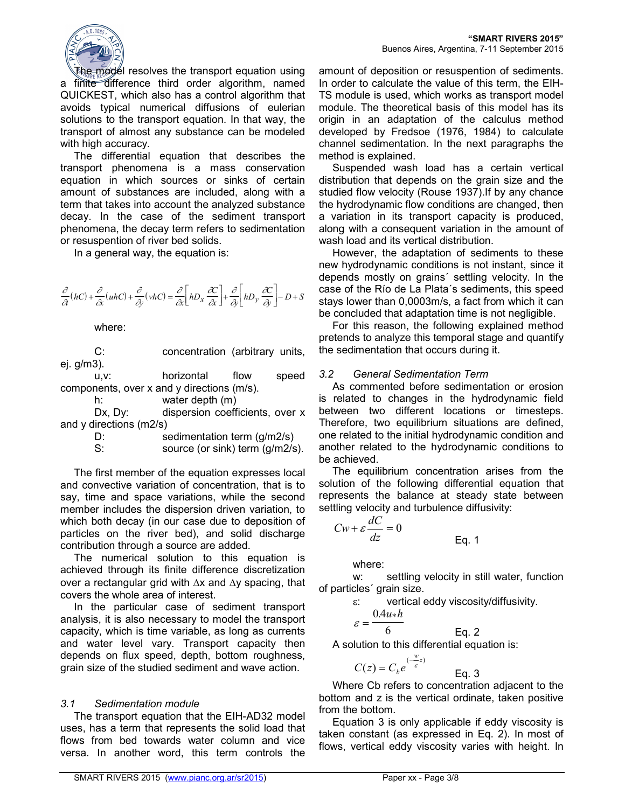

The model resolves the transport equation using a finite difference third order algorithm, named QUICKEST, which also has a control algorithm that avoids typical numerical diffusions of eulerian solutions to the transport equation. In that way, the transport of almost any substance can be modeled with high accuracy.

The differential equation that describes the transport phenomena is a mass conservation equation in which sources or sinks of certain amount of substances are included, along with a term that takes into account the analyzed substance decay. In the case of the sediment transport phenomena, the decay term refers to sedimentation or resuspention of river bed solids.

In a general way, the equation is:

$$
\frac{\partial}{\partial t}(hC) + \frac{\partial}{\partial x}(uhC) + \frac{\partial}{\partial y}(vhC) = \frac{\partial}{\partial x}\left[hD_x \frac{\partial C}{\partial x}\right] + \frac{\partial}{\partial y}\left[hD_y \frac{\partial C}{\partial y}\right] - D + S
$$

where:

C: concentration (arbitrary units, ej. g/m3).

 u,v: horizontal flow speed components, over x and y directions (m/s).

h: water depth (m)

Dx, Dy: dispersion coefficients, over x and y directions (m2/s)

D: sedimentation term (g/m2/s)<br>S: source (or sink) term (g/m2/s

source (or sink) term (g/m2/s).

The first member of the equation expresses local and convective variation of concentration, that is to say, time and space variations, while the second member includes the dispersion driven variation, to which both decay (in our case due to deposition of particles on the river bed), and solid discharge contribution through a source are added.

The numerical solution to this equation is achieved through its finite difference discretization over a rectangular grid with ∆x and ∆y spacing, that covers the whole area of interest.

In the particular case of sediment transport analysis, it is also necessary to model the transport capacity, which is time variable, as long as currents and water level vary. Transport capacity then depends on flux speed, depth, bottom roughness, grain size of the studied sediment and wave action.

#### *3.1 Sedimentation module*

The transport equation that the EIH-AD32 model uses, has a term that represents the solid load that flows from bed towards water column and vice versa. In another word, this term controls the

amount of deposition or resuspention of sediments. In order to calculate the value of this term, the EIH-TS module is used, which works as transport model module. The theoretical basis of this model has its origin in an adaptation of the calculus method developed by Fredsoe (1976, 1984) to calculate channel sedimentation. In the next paragraphs the method is explained.

Suspended wash load has a certain vertical distribution that depends on the grain size and the studied flow velocity (Rouse 1937).If by any chance the hydrodynamic flow conditions are changed, then a variation in its transport capacity is produced, along with a consequent variation in the amount of wash load and its vertical distribution.

However, the adaptation of sediments to these new hydrodynamic conditions is not instant, since it depends mostly on grains´ settling velocity. In the case of the Río de La Plata´s sediments, this speed stays lower than 0,0003m/s, a fact from which it can be concluded that adaptation time is not negligible.

For this reason, the following explained method pretends to analyze this temporal stage and quantify the sedimentation that occurs during it.

#### *3.2 General Sedimentation Term*

As commented before sedimentation or erosion is related to changes in the hydrodynamic field between two different locations or timesteps. Therefore, two equilibrium situations are defined, one related to the initial hydrodynamic condition and another related to the hydrodynamic conditions to be achieved.

The equilibrium concentration arises from the solution of the following differential equation that represents the balance at steady state between settling velocity and turbulence diffusivity:

$$
Cw + \varepsilon \frac{dC}{dz} = 0
$$

where:

 $\varepsilon =$ 

 w: settling velocity in still water, function of particles´ grain size.

$$
\varepsilon: \qquad \text{vertical eddy viscosity/diffusivity.}
$$

Eq. 1

$$
0.4u*h
$$

6

$$
Eq. 2
$$

A solution to this differential equation is:

$$
C(z) = C_b e^{(-\frac{w}{\varepsilon}z)}
$$
 Eq. 3

Where Cb refers to concentration adjacent to the bottom and z is the vertical ordinate, taken positive from the bottom.

Equation 3 is only applicable if eddy viscosity is taken constant (as expressed in Eq. 2). In most of flows, vertical eddy viscosity varies with height. In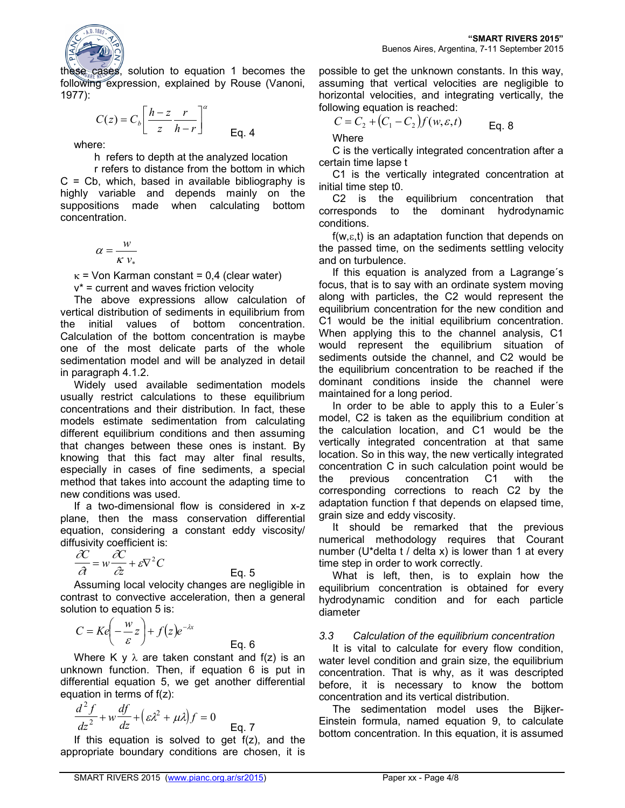

these cases, solution to equation 1 becomes the following expression, explained by Rouse (Vanoni, 1977):

$$
C(z) = C_b \left[ \frac{h-z}{z} \frac{r}{h-r} \right]^\alpha
$$
 Eq. 4

where:

h refers to depth at the analyzed location

 r refers to distance from the bottom in which  $C = Cb$ , which, based in available bibliography is highly variable and depends mainly on the suppositions made when calculating bottom concentration.

$$
\alpha = \frac{w}{\kappa v_*}
$$

 $\kappa$  = Von Karman constant = 0,4 (clear water)

v\* = current and waves friction velocity

The above expressions allow calculation of vertical distribution of sediments in equilibrium from the initial values of bottom concentration. Calculation of the bottom concentration is maybe one of the most delicate parts of the whole sedimentation model and will be analyzed in detail in paragraph 4.1.2.

Widely used available sedimentation models usually restrict calculations to these equilibrium concentrations and their distribution. In fact, these models estimate sedimentation from calculating different equilibrium conditions and then assuming that changes between these ones is instant. By knowing that this fact may alter final results, especially in cases of fine sediments, a special method that takes into account the adapting time to new conditions was used.

If a two-dimensional flow is considered in x-z plane, then the mass conservation differential equation, considering a constant eddy viscosity/ diffusivity coefficient is:

$$
\frac{\partial C}{\partial t} = w \frac{\partial C}{\partial z} + \varepsilon \nabla^2 C
$$
 Eq. 5

Assuming local velocity changes are negligible in contrast to convective acceleration, then a general solution to equation 5 is:

$$
C = Ke\left(-\frac{w}{\varepsilon}z\right) + f(z)e^{-\lambda x}
$$
 Eq. 6

Where K y  $\lambda$  are taken constant and f(z) is an unknown function. Then, if equation 6 is put in differential equation 5, we get another differential equation in terms of f(z):

$$
\frac{d^2 f}{dz^2} + w \frac{df}{dz} + \left(\varepsilon \lambda^2 + \mu \lambda\right) f = 0
$$
 Eq. 7

If this equation is solved to get  $f(z)$ , and the appropriate boundary conditions are chosen, it is

possible to get the unknown constants. In this way, assuming that vertical velocities are negligible to horizontal velocities, and integrating vertically, the following equation is reached:

$$
C = C_2 + (C_1 - C_2) f(w, \varepsilon, t)
$$
 Eq. 8

**Where** 

C is the vertically integrated concentration after a certain time lapse t

C1 is the vertically integrated concentration at initial time step t0.

C2 is the equilibrium concentration that corresponds to the dominant hydrodynamic conditions.

 $f(w, \varepsilon, t)$  is an adaptation function that depends on the passed time, on the sediments settling velocity and on turbulence.

If this equation is analyzed from a Lagrange´s focus, that is to say with an ordinate system moving along with particles, the C2 would represent the equilibrium concentration for the new condition and C1 would be the initial equilibrium concentration. When applying this to the channel analysis, C1 would represent the equilibrium situation of sediments outside the channel, and C2 would be the equilibrium concentration to be reached if the dominant conditions inside the channel were maintained for a long period.

In order to be able to apply this to a Euler´s model, C2 is taken as the equilibrium condition at the calculation location, and C1 would be the vertically integrated concentration at that same location. So in this way, the new vertically integrated concentration C in such calculation point would be the previous concentration C1 with the corresponding corrections to reach C2 by the adaptation function f that depends on elapsed time, grain size and eddy viscosity.

It should be remarked that the previous numerical methodology requires that Courant number (U\*delta t / delta x) is lower than 1 at every time step in order to work correctly.

What is left, then, is to explain how the equilibrium concentration is obtained for every hydrodynamic condition and for each particle diameter

## *3.3 Calculation of the equilibrium concentration*

It is vital to calculate for every flow condition, water level condition and grain size, the equilibrium concentration. That is why, as it was descripted before, it is necessary to know the bottom concentration and its vertical distribution.

The sedimentation model uses the Bijker-Einstein formula, named equation 9, to calculate bottom concentration. In this equation, it is assumed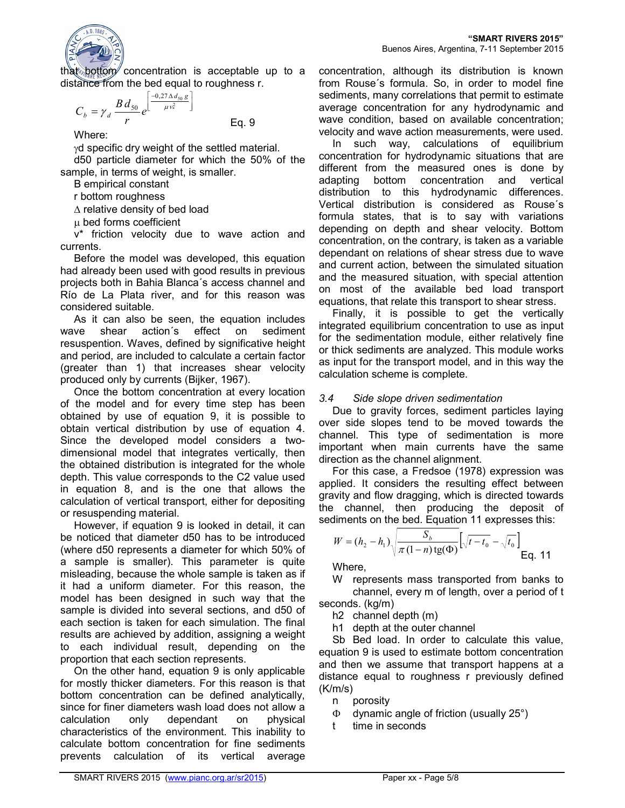

that bottom concentration is acceptable up to a distance from the bed equal to roughness r.

$$
C_b = \gamma_d \frac{B d_{50}}{r} e^{\left[\frac{-0.27 \Delta d_{50} g}{\mu v_*^2}\right]}
$$

Where:

 $γ$ d specific dry weight of the settled material.

d50 particle diameter for which the 50% of the sample, in terms of weight, is smaller.

Eq. 9

B empirical constant

r bottom roughness

∆ relative density of bed load

µ bed forms coefficient

v\* friction velocity due to wave action and currents.

Before the model was developed, this equation had already been used with good results in previous projects both in Bahia Blanca´s access channel and Río de La Plata river, and for this reason was considered suitable.

As it can also be seen, the equation includes wave shear action´s effect on sediment resuspention. Waves, defined by significative height and period, are included to calculate a certain factor (greater than 1) that increases shear velocity produced only by currents (Bijker, 1967).

Once the bottom concentration at every location of the model and for every time step has been obtained by use of equation 9, it is possible to obtain vertical distribution by use of equation 4. Since the developed model considers a twodimensional model that integrates vertically, then the obtained distribution is integrated for the whole depth. This value corresponds to the C2 value used in equation 8, and is the one that allows the calculation of vertical transport, either for depositing or resuspending material.

However, if equation 9 is looked in detail, it can be noticed that diameter d50 has to be introduced (where d50 represents a diameter for which 50% of a sample is smaller). This parameter is quite misleading, because the whole sample is taken as if it had a uniform diameter. For this reason, the model has been designed in such way that the sample is divided into several sections, and d50 of each section is taken for each simulation. The final results are achieved by addition, assigning a weight to each individual result, depending on the proportion that each section represents.

On the other hand, equation 9 is only applicable for mostly thicker diameters. For this reason is that bottom concentration can be defined analytically, since for finer diameters wash load does not allow a calculation only dependant on physical characteristics of the environment. This inability to calculate bottom concentration for fine sediments prevents calculation of its vertical average

concentration, although its distribution is known from Rouse´s formula. So, in order to model fine sediments, many correlations that permit to estimate average concentration for any hydrodynamic and wave condition, based on available concentration; velocity and wave action measurements, were used.

In such way, calculations of equilibrium concentration for hydrodynamic situations that are different from the measured ones is done by adapting bottom concentration and vertical distribution to this hydrodynamic differences. Vertical distribution is considered as Rouse´s formula states, that is to say with variations depending on depth and shear velocity. Bottom concentration, on the contrary, is taken as a variable dependant on relations of shear stress due to wave and current action, between the simulated situation and the measured situation, with special attention on most of the available bed load transport equations, that relate this transport to shear stress.

Finally, it is possible to get the vertically integrated equilibrium concentration to use as input for the sedimentation module, either relatively fine or thick sediments are analyzed. This module works as input for the transport model, and in this way the calculation scheme is complete.

## *3.4 Side slope driven sedimentation*

Due to gravity forces, sediment particles laying over side slopes tend to be moved towards the channel. This type of sedimentation is more important when main currents have the same direction as the channel alignment.

For this case, a Fredsoe (1978) expression was applied. It considers the resulting effect between gravity and flow dragging, which is directed towards the channel, then producing the deposit of sediments on the bed. Equation 11 expresses this:

$$
W = (h_2 - h_1) \sqrt{\frac{S_b}{\pi (1 - n) \text{tg}(\Phi)}} \left[ \sqrt{t - t_0} - \sqrt{t_0} \right]
$$
Eq. 11

Where,

W represents mass transported from banks to channel, every m of length, over a period of t

seconds. (kg/m)

h2 channel depth (m)

h1 depth at the outer channel

Sb Bed load. In order to calculate this value, equation 9 is used to estimate bottom concentration and then we assume that transport happens at a distance equal to roughness r previously defined (K/m/s)

n porosity

- Φ dynamic angle of friction (usually 25°)
- t time in seconds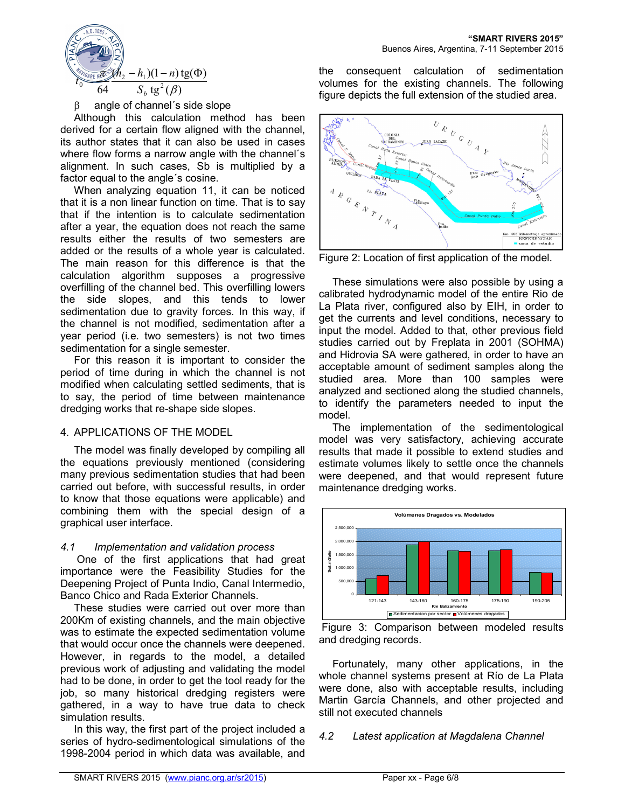

 $β$  angle of channel's side slope

Although this calculation method has been derived for a certain flow aligned with the channel, its author states that it can also be used in cases where flow forms a narrow angle with the channel´s alignment. In such cases, Sb is multiplied by a factor equal to the angle´s cosine.

When analyzing equation 11, it can be noticed that it is a non linear function on time. That is to say that if the intention is to calculate sedimentation after a year, the equation does not reach the same results either the results of two semesters are added or the results of a whole year is calculated. The main reason for this difference is that the calculation algorithm supposes a progressive overfilling of the channel bed. This overfilling lowers the side slopes, and this tends to lower sedimentation due to gravity forces. In this way, if the channel is not modified, sedimentation after a year period (i.e. two semesters) is not two times sedimentation for a single semester.

For this reason it is important to consider the period of time during in which the channel is not modified when calculating settled sediments, that is to say, the period of time between maintenance dredging works that re-shape side slopes.

## 4. APPLICATIONS OF THE MODEL

The model was finally developed by compiling all the equations previously mentioned (considering many previous sedimentation studies that had been carried out before, with successful results, in order to know that those equations were applicable) and combining them with the special design of a graphical user interface.

## *4.1 Implementation and validation process*

 One of the first applications that had great importance were the Feasibility Studies for the Deepening Project of Punta Indio, Canal Intermedio, Banco Chico and Rada Exterior Channels.

These studies were carried out over more than 200Km of existing channels, and the main objective was to estimate the expected sedimentation volume that would occur once the channels were deepened. However, in regards to the model, a detailed previous work of adjusting and validating the model had to be done, in order to get the tool ready for the job, so many historical dredging registers were gathered, in a way to have true data to check simulation results.

In this way, the first part of the project included a series of hydro-sedimentological simulations of the 1998-2004 period in which data was available, and the consequent calculation of sedimentation volumes for the existing channels. The following figure depicts the full extension of the studied area.



Figure 2: Location of first application of the model.

These simulations were also possible by using a calibrated hydrodynamic model of the entire Rio de La Plata river, configured also by EIH, in order to get the currents and level conditions, necessary to input the model. Added to that, other previous field studies carried out by Freplata in 2001 (SOHMA) and Hidrovia SA were gathered, in order to have an acceptable amount of sediment samples along the studied area. More than 100 samples were analyzed and sectioned along the studied channels, to identify the parameters needed to input the model.

The implementation of the sedimentological model was very satisfactory, achieving accurate results that made it possible to extend studies and estimate volumes likely to settle once the channels were deepened, and that would represent future maintenance dredging works.





Fortunately, many other applications, in the whole channel systems present at Río de La Plata were done, also with acceptable results, including Martin García Channels, and other projected and still not executed channels

## *4.2 Latest application at Magdalena Channel*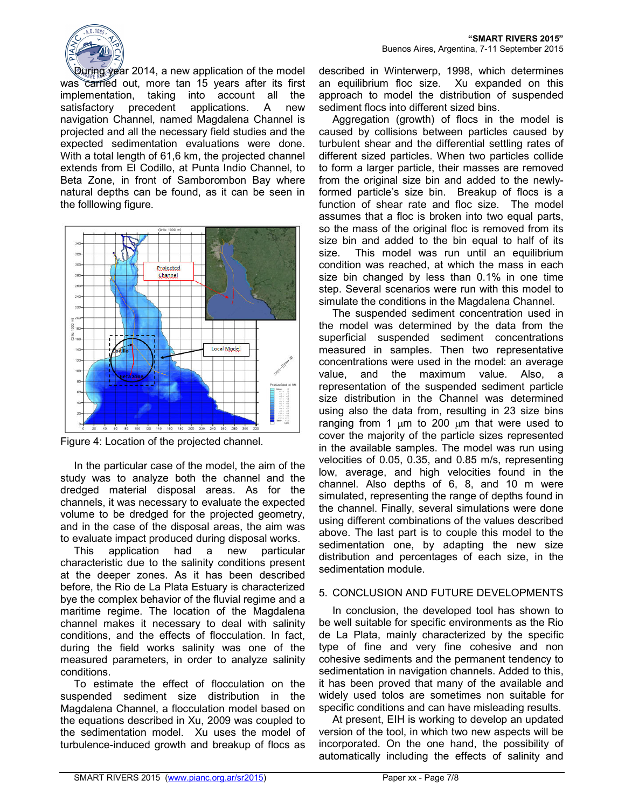

During year 2014, a new application of the model was carried out, more tan 15 years after its first implementation, taking into account all the satisfactory precedent applications. A new navigation Channel, named Magdalena Channel is projected and all the necessary field studies and the expected sedimentation evaluations were done. With a total length of 61,6 km, the projected channel extends from El Codillo, at Punta Indio Channel, to Beta Zone, in front of Samborombon Bay where natural depths can be found, as it can be seen in the folllowing figure.



Figure 4: Location of the projected channel.

In the particular case of the model, the aim of the study was to analyze both the channel and the dredged material disposal areas. As for the channels, it was necessary to evaluate the expected volume to be dredged for the projected geometry, and in the case of the disposal areas, the aim was to evaluate impact produced during disposal works.

This application had a new particular characteristic due to the salinity conditions present at the deeper zones. As it has been described before, the Rio de La Plata Estuary is characterized bye the complex behavior of the fluvial regime and a maritime regime. The location of the Magdalena channel makes it necessary to deal with salinity conditions, and the effects of flocculation. In fact, during the field works salinity was one of the measured parameters, in order to analyze salinity conditions.

To estimate the effect of flocculation on the suspended sediment size distribution in the Magdalena Channel, a flocculation model based on the equations described in Xu, 2009 was coupled to the sedimentation model. Xu uses the model of turbulence-induced growth and breakup of flocs as

described in Winterwerp, 1998, which determines an equilibrium floc size. Xu expanded on this approach to model the distribution of suspended sediment flocs into different sized bins.

Aggregation (growth) of flocs in the model is caused by collisions between particles caused by turbulent shear and the differential settling rates of different sized particles. When two particles collide to form a larger particle, their masses are removed from the original size bin and added to the newlyformed particle's size bin. Breakup of flocs is a function of shear rate and floc size. The model assumes that a floc is broken into two equal parts, so the mass of the original floc is removed from its size bin and added to the bin equal to half of its size. This model was run until an equilibrium condition was reached, at which the mass in each size bin changed by less than 0.1% in one time step. Several scenarios were run with this model to simulate the conditions in the Magdalena Channel.

The suspended sediment concentration used in the model was determined by the data from the superficial suspended sediment concentrations measured in samples. Then two representative concentrations were used in the model: an average value, and the maximum value. Also, a representation of the suspended sediment particle size distribution in the Channel was determined using also the data from, resulting in 23 size bins ranging from 1  $\mu$ m to 200  $\mu$ m that were used to cover the majority of the particle sizes represented in the available samples. The model was run using velocities of 0.05, 0.35, and 0.85 m/s, representing low, average, and high velocities found in the channel. Also depths of 6, 8, and 10 m were simulated, representing the range of depths found in the channel. Finally, several simulations were done using different combinations of the values described above. The last part is to couple this model to the sedimentation one, by adapting the new size distribution and percentages of each size, in the sedimentation module.

## 5. CONCLUSION AND FUTURE DEVELOPMENTS

In conclusion, the developed tool has shown to be well suitable for specific environments as the Rio de La Plata, mainly characterized by the specific type of fine and very fine cohesive and non cohesive sediments and the permanent tendency to sedimentation in navigation channels. Added to this, it has been proved that many of the available and widely used tolos are sometimes non suitable for specific conditions and can have misleading results.

At present, EIH is working to develop an updated version of the tool, in which two new aspects will be incorporated. On the one hand, the possibility of automatically including the effects of salinity and